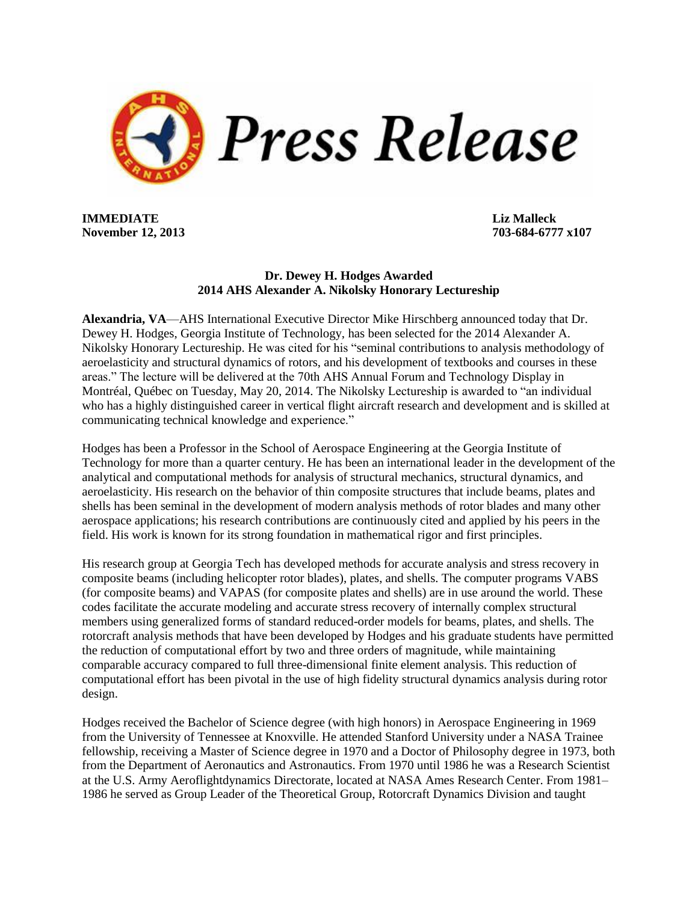

**IMMEDIATE Liz Malleck November 12, 2013 703-684-6777 x107**

## **Dr. Dewey H. Hodges Awarded 2014 AHS Alexander A. Nikolsky Honorary Lectureship**

**Alexandria, VA**—AHS International Executive Director Mike Hirschberg announced today that Dr. Dewey H. Hodges, Georgia Institute of Technology, has been selected for the 2014 Alexander A. Nikolsky Honorary Lectureship. He was cited for his "seminal contributions to analysis methodology of aeroelasticity and structural dynamics of rotors, and his development of textbooks and courses in these areas." The lecture will be delivered at the 70th AHS Annual Forum and Technology Display in Montréal, Québec on Tuesday, May 20, 2014. The Nikolsky Lectureship is awarded to "an individual who has a highly distinguished career in vertical flight aircraft research and development and is skilled at communicating technical knowledge and experience."

Hodges has been a Professor in the School of Aerospace Engineering at the Georgia Institute of Technology for more than a quarter century. He has been an international leader in the development of the analytical and computational methods for analysis of structural mechanics, structural dynamics, and aeroelasticity. His research on the behavior of thin composite structures that include beams, plates and shells has been seminal in the development of modern analysis methods of rotor blades and many other aerospace applications; his research contributions are continuously cited and applied by his peers in the field. His work is known for its strong foundation in mathematical rigor and first principles.

His research group at Georgia Tech has developed methods for accurate analysis and stress recovery in composite beams (including helicopter rotor blades), plates, and shells. The computer programs VABS (for composite beams) and VAPAS (for composite plates and shells) are in use around the world. These codes facilitate the accurate modeling and accurate stress recovery of internally complex structural members using generalized forms of standard reduced-order models for beams, plates, and shells. The rotorcraft analysis methods that have been developed by Hodges and his graduate students have permitted the reduction of computational effort by two and three orders of magnitude, while maintaining comparable accuracy compared to full three-dimensional finite element analysis. This reduction of computational effort has been pivotal in the use of high fidelity structural dynamics analysis during rotor design.

Hodges received the Bachelor of Science degree (with high honors) in Aerospace Engineering in 1969 from the University of Tennessee at Knoxville. He attended Stanford University under a NASA Trainee fellowship, receiving a Master of Science degree in 1970 and a Doctor of Philosophy degree in 1973, both from the Department of Aeronautics and Astronautics. From 1970 until 1986 he was a Research Scientist at the U.S. Army Aeroflightdynamics Directorate, located at NASA Ames Research Center. From 1981– 1986 he served as Group Leader of the Theoretical Group, Rotorcraft Dynamics Division and taught